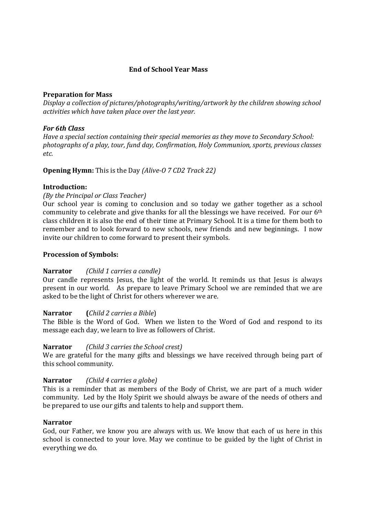# **End of School Year Mass**

# **Preparation for Mass**

*Display a collection of pictures/photographs/writing/artwork by the children showing school activities which have taken place over the last year.* 

## *For 6th Class*

*Have a special section containing their special memories as they move to Secondary School: photographs of a play, tour, fund day, Confirmation, Holy Communion, sports, previous classes etc.* 

**Opening Hymn:** This is the Day *(Alive-O 7 CD2 Track 22)* 

# **Introduction:**

# *(By the Principal or Class Teacher)*

Our school year is coming to conclusion and so today we gather together as a school community to celebrate and give thanks for all the blessings we have received. For our 6th class children it is also the end of their time at Primary School. It is a time for them both to remember and to look forward to new schools, new friends and new beginnings. I now invite our children to come forward to present their symbols.

## **Procession of Symbols:**

# **Narrator** *(Child 1 carries a candle)*

Our candle represents Jesus, the light of the world. It reminds us that Jesus is always present in our world. As prepare to leave Primary School we are reminded that we are asked to be the light of Christ for others wherever we are.

## **Narrator (***Child 2 carries a Bible*)

The Bible is the Word of God. When we listen to the Word of God and respond to its message each day, we learn to live as followers of Christ.

## **Narrator** *(Child 3 carries the School crest)*

We are grateful for the many gifts and blessings we have received through being part of this school community.

# **Narrator** *(Child 4 carries a globe)*

This is a reminder that as members of the Body of Christ, we are part of a much wider community. Led by the Holy Spirit we should always be aware of the needs of others and be prepared to use our gifts and talents to help and support them.

## **Narrator**

God, our Father, we know you are always with us. We know that each of us here in this school is connected to your love. May we continue to be guided by the light of Christ in everything we do.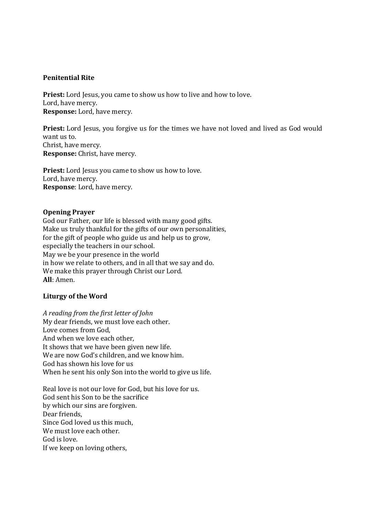## **Penitential Rite**

**Priest:** Lord Jesus, you came to show us how to live and how to love. Lord, have mercy. **Response:** Lord, have mercy.

Priest: Lord Jesus, you forgive us for the times we have not loved and lived as God would want us to. Christ, have mercy. **Response:** Christ, have mercy.

**Priest:** Lord Jesus you came to show us how to love. Lord, have mercy. **Response**: Lord, have mercy.

# **Opening Prayer**

God our Father, our life is blessed with many good gifts. Make us truly thankful for the gifts of our own personalities, for the gift of people who guide us and help us to grow, especially the teachers in our school. May we be your presence in the world in how we relate to others, and in all that we say and do. We make this prayer through Christ our Lord. **All**: Amen.

# **Liturgy of the Word**

*A reading from the first letter of John*  My dear friends, we must love each other. Love comes from God, And when we love each other, It shows that we have been given new life. We are now God's children, and we know him. God has shown his love for us When he sent his only Son into the world to give us life.

Real love is not our love for God, but his love for us. God sent his Son to be the sacrifice by which our sins are forgiven. Dear friends, Since God loved us this much, We must love each other. God is love. If we keep on loving others,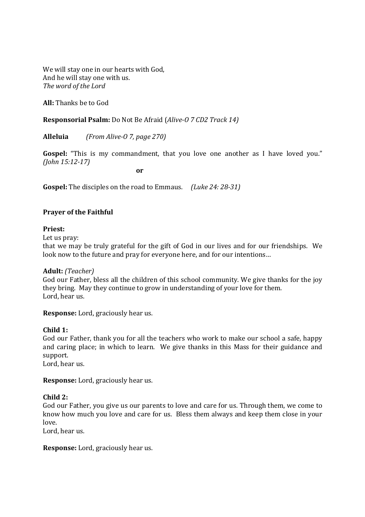We will stay one in our hearts with God, And he will stay one with us. *The word of the Lord* 

**All:** Thanks be to God

**Responsorial Psalm:** Do Not Be Afraid (*Alive-O 7 CD2 Track 14)*

**Alleluia** *(From Alive-O 7, page 270)* 

**Gospel:** "This is my commandment, that you love one another as I have loved you." *(John 15:12-17)* 

**or** or

**Gospel:** The disciples on the road to Emmaus. *(Luke 24: 28-31)* 

# **Prayer of the Faithful**

## **Priest:**

Let us pray:

that we may be truly grateful for the gift of God in our lives and for our friendships. We look now to the future and pray for everyone here, and for our intentions…

## **Adult:** *(Teacher)*

God our Father, bless all the children of this school community. We give thanks for the joy they bring. May they continue to grow in understanding of your love for them. Lord, hear us.

**Response:** Lord, graciously hear us.

## **Child 1:**

God our Father, thank you for all the teachers who work to make our school a safe, happy and caring place; in which to learn. We give thanks in this Mass for their guidance and support.

Lord, hear us.

**Response:** Lord, graciously hear us.

## **Child 2:**

God our Father, you give us our parents to love and care for us. Through them, we come to know how much you love and care for us. Bless them always and keep them close in your love.

Lord, hear us.

**Response:** Lord, graciously hear us.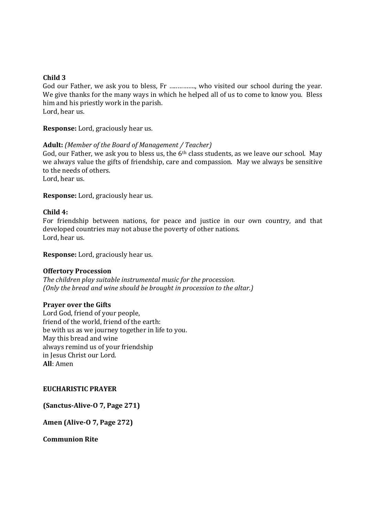## **Child 3**

God our Father, we ask you to bless, Fr …..………., who visited our school during the year. We give thanks for the many ways in which he helped all of us to come to know you. Bless him and his priestly work in the parish. Lord, hear us.

**Response:** Lord, graciously hear us.

#### **Adult:** *(Member of the Board of Management / Teacher)*

God, our Father, we ask you to bless us, the 6<sup>th</sup> class students, as we leave our school. May we always value the gifts of friendship, care and compassion. May we always be sensitive to the needs of others.

Lord, hear us.

**Response:** Lord, graciously hear us.

#### **Child 4:**

For friendship between nations, for peace and justice in our own country, and that developed countries may not abuse the poverty of other nations. Lord, hear us.

**Response:** Lord, graciously hear us.

#### **Offertory Procession**

*The children play suitable instrumental music for the procession. (Only the bread and wine should be brought in procession to the altar.)* 

#### **Prayer over the Gifts**

Lord God, friend of your people, friend of the world, friend of the earth: be with us as we journey together in life to you. May this bread and wine always remind us of your friendship in Jesus Christ our Lord. **All**: Amen

## **EUCHARISTIC PRAYER**

**(Sanctus-Alive-O 7, Page 271)** 

**Amen (Alive-O 7, Page 272)** 

**Communion Rite**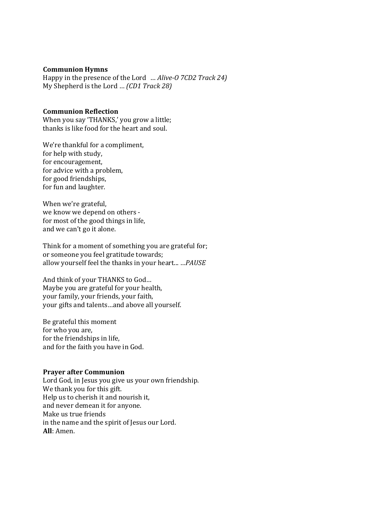#### **Communion Hymns**

Happy in the presence of the Lord … *Alive-O 7CD2 Track 24)*  My Shepherd is the Lord … *(CD1 Track 28)* 

# **Communion Reflection**

When you say 'THANKS,' you grow a little; thanks is like food for the heart and soul.

We're thankful for a compliment, for help with study, for encouragement, for advice with a problem, for good friendships, for fun and laughter.

When we're grateful, we know we depend on others for most of the good things in life, and we can't go it alone.

Think for a moment of something you are grateful for; or someone you feel gratitude towards; allow yourself feel the thanks in your heart... …*PAUSE* 

And think of your THANKS to God… Maybe you are grateful for your health, your family, your friends, your faith, your gifts and talents…and above all yourself.

Be grateful this moment for who you are, for the friendships in life, and for the faith you have in God.

#### **Prayer after Communion**

Lord God, in Jesus you give us your own friendship. We thank you for this gift. Help us to cherish it and nourish it, and never demean it for anyone. Make us true friends in the name and the spirit of Jesus our Lord. **All**: Amen.